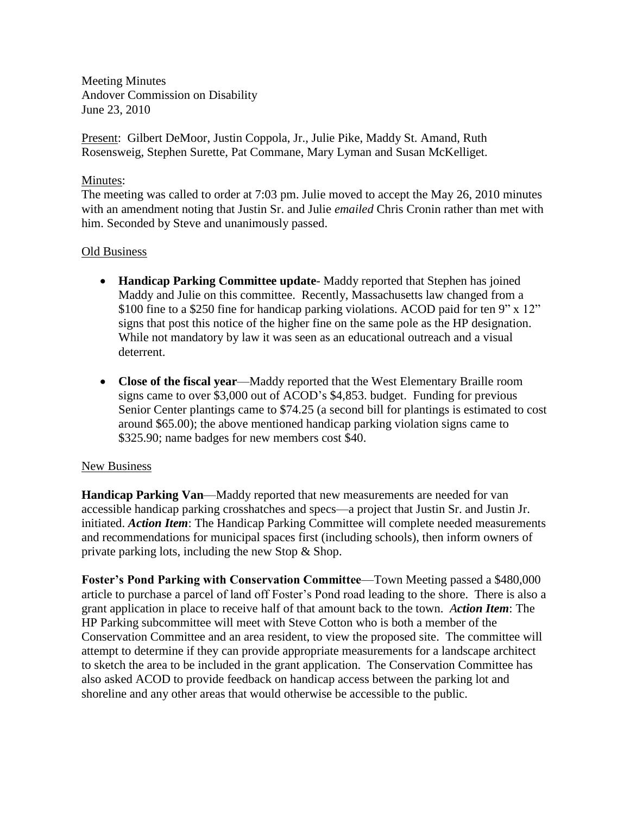Meeting Minutes Andover Commission on Disability June 23, 2010

Present: Gilbert DeMoor, Justin Coppola, Jr., Julie Pike, Maddy St. Amand, Ruth Rosensweig, Stephen Surette, Pat Commane, Mary Lyman and Susan McKelliget.

## Minutes:

The meeting was called to order at 7:03 pm. Julie moved to accept the May 26, 2010 minutes with an amendment noting that Justin Sr. and Julie *emailed* Chris Cronin rather than met with him. Seconded by Steve and unanimously passed.

## Old Business

- **Handicap Parking Committee update** Maddy reported that Stephen has joined Maddy and Julie on this committee. Recently, Massachusetts law changed from a \$100 fine to a \$250 fine for handicap parking violations. ACOD paid for ten 9" x 12" signs that post this notice of the higher fine on the same pole as the HP designation. While not mandatory by law it was seen as an educational outreach and a visual deterrent.
- **Close of the fiscal year**—Maddy reported that the West Elementary Braille room signs came to over \$3,000 out of ACOD's \$4,853. budget. Funding for previous Senior Center plantings came to \$74.25 (a second bill for plantings is estimated to cost around \$65.00); the above mentioned handicap parking violation signs came to \$325.90; name badges for new members cost \$40.

## New Business

**Handicap Parking Van**—Maddy reported that new measurements are needed for van accessible handicap parking crosshatches and specs—a project that Justin Sr. and Justin Jr. initiated. *Action Item*: The Handicap Parking Committee will complete needed measurements and recommendations for municipal spaces first (including schools), then inform owners of private parking lots, including the new Stop & Shop.

**Foster's Pond Parking with Conservation Committee**—Town Meeting passed a \$480,000 article to purchase a parcel of land off Foster's Pond road leading to the shore. There is also a grant application in place to receive half of that amount back to the town. *Action Item*: The HP Parking subcommittee will meet with Steve Cotton who is both a member of the Conservation Committee and an area resident, to view the proposed site. The committee will attempt to determine if they can provide appropriate measurements for a landscape architect to sketch the area to be included in the grant application. The Conservation Committee has also asked ACOD to provide feedback on handicap access between the parking lot and shoreline and any other areas that would otherwise be accessible to the public.